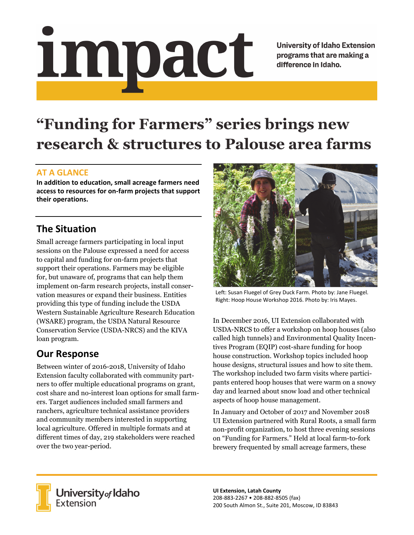# Impact

**University of Idaho Extension** programs that are making a difference in Idaho.

# **"Funding for Farmers" series brings new research & structures to Palouse area farms**

#### **AT A GLANCE**

**In addition to education, small acreage farmers need access to resources for on‐farm projects that support their operations.**

## **The Situation**

Small acreage farmers participating in local input sessions on the Palouse expressed a need for access to capital and funding for on-farm projects that support their operations. Farmers may be eligible for, but unaware of, programs that can help them implement on-farm research projects, install conservation measures or expand their business. Entities providing this type of funding include the USDA Western Sustainable Agriculture Research Education (WSARE) program, the USDA Natural Resource Conservation Service (USDA-NRCS) and the KIVA loan program.

# **Our Response**

Between winter of 2016-2018, University of Idaho Extension faculty collaborated with community partners to offer multiple educational programs on grant, cost share and no-interest loan options for small farmers. Target audiences included small farmers and ranchers, agriculture technical assistance providers and community members interested in supporting local agriculture. Offered in multiple formats and at different times of day, 219 stakeholders were reached over the two year-period.



Left: Susan Fluegel of Grey Duck Farm. Photo by: Jane Fluegel. Right: Hoop House Workshop 2016. Photo by: Iris Mayes.

In December 2016, UI Extension collaborated with USDA-NRCS to offer a workshop on hoop houses (also called high tunnels) and Environmental Quality Incentives Program (EQIP) cost-share funding for hoop house construction. Workshop topics included hoop house designs, structural issues and how to site them. The workshop included two farm visits where participants entered hoop houses that were warm on a snowy day and learned about snow load and other technical aspects of hoop house management.

In January and October of 2017 and November 2018 UI Extension partnered with Rural Roots, a small farm non-profit organization, to host three evening sessions on "Funding for Farmers." Held at local farm-to-fork brewery frequented by small acreage farmers, these



**University** of Idaho<br>Extension

**UI Extension, Latah County** 208‐883‐2267 • 208‐882‐8505 (fax) 200 South Almon St., Suite 201, Moscow, ID 83843